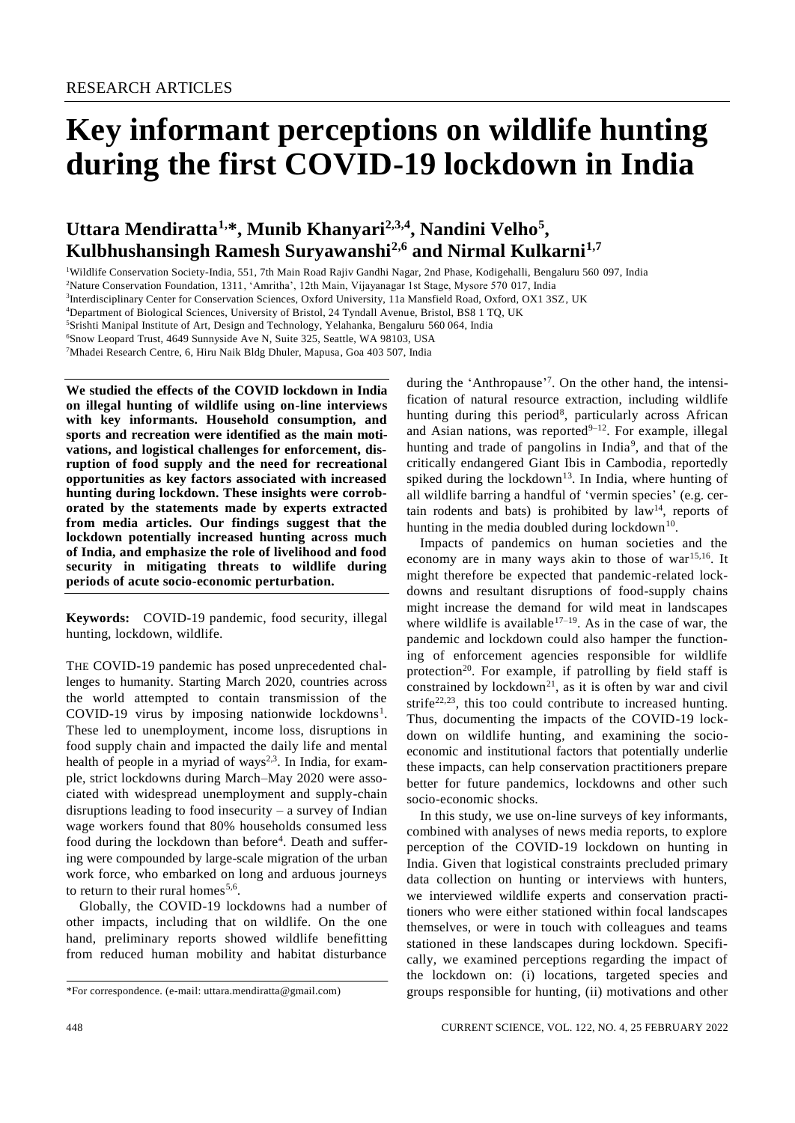# **Key informant perceptions on wildlife hunting during the first COVID-19 lockdown in India**

# **Uttara Mendiratta1,\*, Munib Khanyari2,3,4, Nandini Velho<sup>5</sup> , Kulbhushansingh Ramesh Suryawanshi2,6 and Nirmal Kulkarni1,7**

<sup>1</sup>Wildlife Conservation Society-India, 551, 7th Main Road Rajiv Gandhi Nagar, 2nd Phase, Kodigehalli, Bengaluru 560 097, India

<sup>2</sup>Nature Conservation Foundation, 1311, 'Amritha', 12th Main, Vijayanagar 1st Stage, Mysore 570 017, India

<sup>3</sup>Interdisciplinary Center for Conservation Sciences, Oxford University, 11a Mansfield Road, Oxford, OX1 3SZ, UK

<sup>4</sup>Department of Biological Sciences, University of Bristol, 24 Tyndall Avenue, Bristol, BS8 1 TQ, UK

<sup>5</sup>Srishti Manipal Institute of Art, Design and Technology, Yelahanka, Bengaluru 560 064, India

<sup>6</sup>Snow Leopard Trust, 4649 Sunnyside Ave N, Suite 325, Seattle, WA 98103, USA

<sup>7</sup>Mhadei Research Centre, 6, Hiru Naik Bldg Dhuler, Mapusa, Goa 403 507, India

**We studied the effects of the COVID lockdown in India on illegal hunting of wildlife using on-line interviews with key informants. Household consumption, and sports and recreation were identified as the main motivations, and logistical challenges for enforcement, disruption of food supply and the need for recreational opportunities as key factors associated with increased hunting during lockdown. These insights were corroborated by the statements made by experts extracted from media articles. Our findings suggest that the lockdown potentially increased hunting across much of India, and emphasize the role of livelihood and food security in mitigating threats to wildlife during periods of acute socio-economic perturbation.**

**Keywords:** COVID-19 pandemic, food security, illegal hunting, lockdown, wildlife.

THE COVID-19 pandemic has posed unprecedented challenges to humanity. Starting March 2020, countries across the world attempted to contain transmission of the COVID-19 virus by imposing nationwide lockdowns<sup>1</sup>. These led to unemployment, income loss, disruptions in food supply chain and impacted the daily life and mental health of people in a myriad of ways<sup>2,3</sup>. In India, for example, strict lockdowns during March–May 2020 were associated with widespread unemployment and supply-chain disruptions leading to food insecurity  $-$  a survey of Indian wage workers found that 80% households consumed less food during the lockdown than before<sup>4</sup>. Death and suffering were compounded by large-scale migration of the urban work force, who embarked on long and arduous journeys to return to their rural homes<sup>5,6</sup>.

Globally, the COVID-19 lockdowns had a number of other impacts, including that on wildlife. On the one hand, preliminary reports showed wildlife benefitting from reduced human mobility and habitat disturbance

during the 'Anthropause'<sup>7</sup>. On the other hand, the intensification of natural resource extraction, including wildlife hunting during this period<sup>8</sup>, particularly across African and Asian nations, was reported $9-12$ . For example, illegal hunting and trade of pangolins in India<sup>9</sup>, and that of the critically endangered Giant Ibis in Cambodia, reportedly spiked during the lockdown $13$ . In India, where hunting of all wildlife barring a handful of 'vermin species' (e.g. certain rodents and bats) is prohibited by  $law<sup>14</sup>$ , reports of hunting in the media doubled during lockdown $^{10}$ .

Impacts of pandemics on human societies and the economy are in many ways akin to those of war<sup>15,16</sup>. It might therefore be expected that pandemic-related lockdowns and resultant disruptions of food-supply chains might increase the demand for wild meat in landscapes where wildlife is available<sup>17-19</sup>. As in the case of war, the pandemic and lockdown could also hamper the functioning of enforcement agencies responsible for wildlife protection<sup>20</sup>. For example, if patrolling by field staff is constrained by lockdown<sup>21</sup>, as it is often by war and civil strife $22,23$ , this too could contribute to increased hunting. Thus, documenting the impacts of the COVID-19 lockdown on wildlife hunting, and examining the socioeconomic and institutional factors that potentially underlie these impacts, can help conservation practitioners prepare better for future pandemics, lockdowns and other such socio-economic shocks.

In this study, we use on-line surveys of key informants, combined with analyses of news media reports, to explore perception of the COVID-19 lockdown on hunting in India. Given that logistical constraints precluded primary data collection on hunting or interviews with hunters, we interviewed wildlife experts and conservation practitioners who were either stationed within focal landscapes themselves, or were in touch with colleagues and teams stationed in these landscapes during lockdown. Specifically, we examined perceptions regarding the impact of the lockdown on: (i) locations, targeted species and groups responsible for hunting, (ii) motivations and other

<sup>\*</sup>For correspondence. (e-mail: uttara.mendiratta@gmail.com)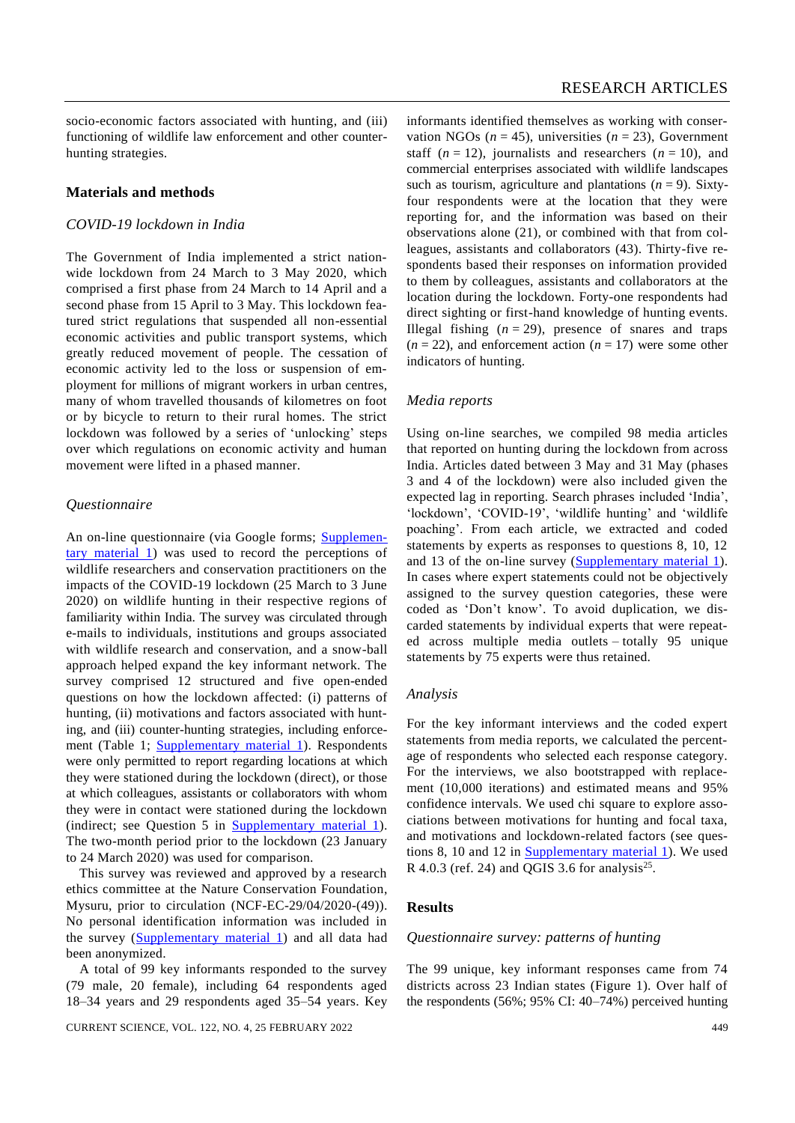socio-economic factors associated with hunting, and (iii) functioning of wildlife law enforcement and other counterhunting strategies.

# **Materials and methods**

# *COVID-19 lockdown in India*

The Government of India implemented a strict nationwide lockdown from 24 March to 3 May 2020, which comprised a first phase from 24 March to 14 April and a second phase from 15 April to 3 May. This lockdown featured strict regulations that suspended all non-essential economic activities and public transport systems, which greatly reduced movement of people. The cessation of economic activity led to the loss or suspension of employment for millions of migrant workers in urban centres, many of whom travelled thousands of kilometres on foot or by bicycle to return to their rural homes. The strict lockdown was followed by a series of 'unlocking' steps over which regulations on economic activity and human movement were lifted in a phased manner.

# *Questionnaire*

An on-line questionnaire (via Google forms; [Supplemen](https://www.currentscience.ac.in/Volumes/122/04/0448-suppl.pdf)[tary material 1\)](https://www.currentscience.ac.in/Volumes/122/04/0448-suppl.pdf) was used to record the perceptions of wildlife researchers and conservation practitioners on the impacts of the COVID-19 lockdown (25 March to 3 June 2020) on wildlife hunting in their respective regions of familiarity within India. The survey was circulated through e-mails to individuals, institutions and groups associated with wildlife research and conservation, and a snow-ball approach helped expand the key informant network. The survey comprised 12 structured and five open-ended questions on how the lockdown affected: (i) patterns of hunting, (ii) motivations and factors associated with hunting, and (iii) counter-hunting strategies, including enforce-ment (Table 1; [Supplementary material 1\)](https://www.currentscience.ac.in/Volumes/122/04/0448-suppl.pdf). Respondents were only permitted to report regarding locations at which they were stationed during the lockdown (direct), or those at which colleagues, assistants or collaborators with whom they were in contact were stationed during the lockdown (indirect; see Question 5 in [Supplementary material 1\)](https://www.currentscience.ac.in/Volumes/122/04/0448-suppl.pdf). The two-month period prior to the lockdown (23 January to 24 March 2020) was used for comparison.

This survey was reviewed and approved by a research ethics committee at the Nature Conservation Foundation, Mysuru, prior to circulation (NCF-EC-29/04/2020-(49)). No personal identification information was included in the survey [\(Supplementary material 1\)](https://www.currentscience.ac.in/Volumes/122/04/0448-suppl.pdf) and all data had been anonymized.

A total of 99 key informants responded to the survey (79 male, 20 female), including 64 respondents aged 18–34 years and 29 respondents aged 35–54 years. Key informants identified themselves as working with conservation NGOs  $(n = 45)$ , universities  $(n = 23)$ , Government staff  $(n = 12)$ , journalists and researchers  $(n = 10)$ , and commercial enterprises associated with wildlife landscapes such as tourism, agriculture and plantations  $(n = 9)$ . Sixtyfour respondents were at the location that they were reporting for, and the information was based on their observations alone (21), or combined with that from colleagues, assistants and collaborators (43). Thirty-five respondents based their responses on information provided to them by colleagues, assistants and collaborators at the location during the lockdown. Forty-one respondents had direct sighting or first-hand knowledge of hunting events. Illegal fishing  $(n = 29)$ , presence of snares and traps  $(n = 22)$ , and enforcement action  $(n = 17)$  were some other indicators of hunting.

#### *Media reports*

Using on-line searches, we compiled 98 media articles that reported on hunting during the lockdown from across India. Articles dated between 3 May and 31 May (phases 3 and 4 of the lockdown) were also included given the expected lag in reporting. Search phrases included 'India', 'lockdown', 'COVID-19', 'wildlife hunting' and 'wildlife poaching'. From each article, we extracted and coded statements by experts as responses to questions 8, 10, 12 and 13 of the on-line survey [\(Supplementary material 1\)](https://www.currentscience.ac.in/Volumes/122/04/0448-suppl.pdf). In cases where expert statements could not be objectively assigned to the survey question categories, these were coded as 'Don't know'. To avoid duplication, we discarded statements by individual experts that were repeated across multiple media outlets – totally 95 unique statements by 75 experts were thus retained.

#### *Analysis*

For the key informant interviews and the coded expert statements from media reports, we calculated the percentage of respondents who selected each response category. For the interviews, we also bootstrapped with replacement (10,000 iterations) and estimated means and 95% confidence intervals. We used chi square to explore associations between motivations for hunting and focal taxa, and motivations and lockdown-related factors (see questions 8, 10 and 12 in [Supplementary material 1\)](https://www.currentscience.ac.in/Volumes/122/04/0448-suppl.pdf). We used R 4.0.3 (ref. 24) and QGIS 3.6 for analysis<sup>25</sup>.

### **Results**

#### *Questionnaire survey: patterns of hunting*

The 99 unique, key informant responses came from 74 districts across 23 Indian states (Figure 1). Over half of the respondents (56%; 95% CI: 40–74%) perceived hunting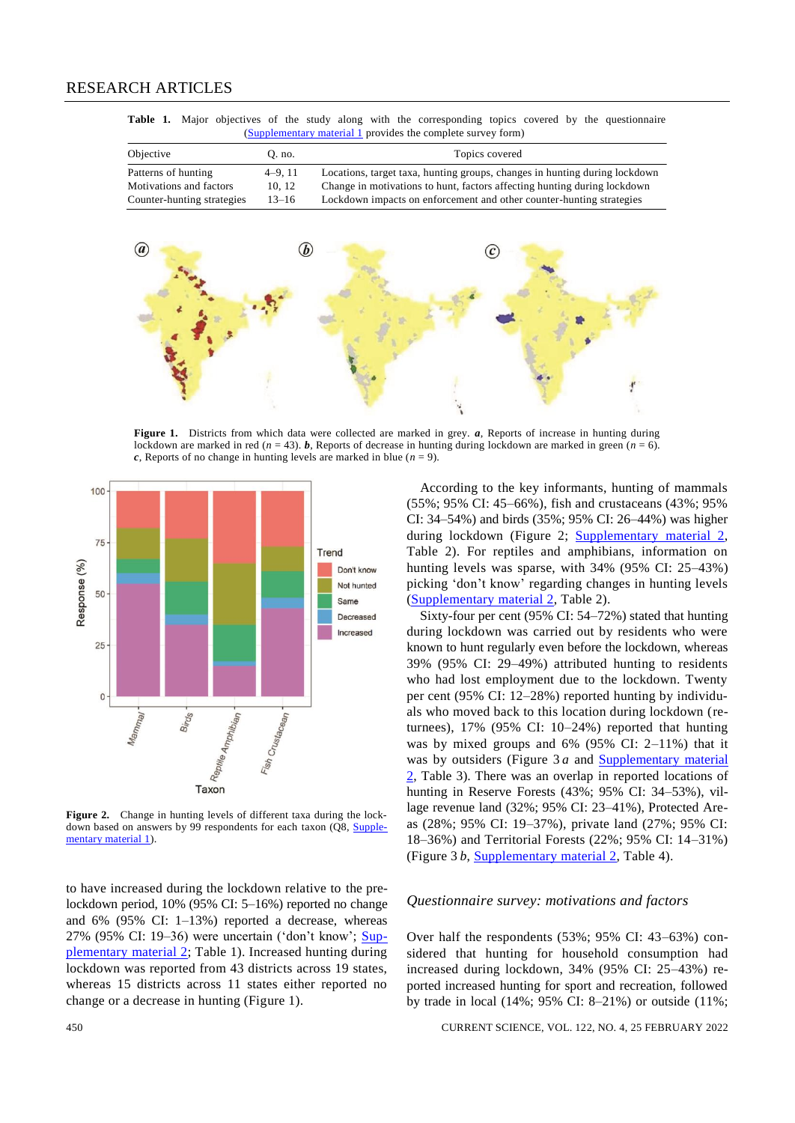Table 1. Major objectives of the study along with the corresponding topics covered by the questionnaire [\(Supplementary material 1](https://www.currentscience.ac.in/Volumes/122/04/0448-suppl.pdf) provides the complete survey form)

| Objective                  | O. no.    | Topics covered                                                             |
|----------------------------|-----------|----------------------------------------------------------------------------|
| Patterns of hunting        | $4-9.11$  | Locations, target taxa, hunting groups, changes in hunting during lockdown |
| Motivations and factors    | 10.12     | Change in motivations to hunt, factors affecting hunting during lockdown   |
| Counter-hunting strategies | $13 - 16$ | Lockdown impacts on enforcement and other counter-hunting strategies       |



**Figure 1.** Districts from which data were collected are marked in grey. *a*, Reports of increase in hunting during lockdown are marked in red  $(n = 43)$ . **b**, Reports of decrease in hunting during lockdown are marked in green  $(n = 6)$ . *c*, Reports of no change in hunting levels are marked in blue ( $n = 9$ ).



**Figure 2.** Change in hunting levels of different taxa during the lockdown based on answers by 99 respondents for each taxon (Q8, [Supple](https://www.currentscience.ac.in/Volumes/122/04/0448-suppl.pdf)[mentary material 1\)](https://www.currentscience.ac.in/Volumes/122/04/0448-suppl.pdf).

to have increased during the lockdown relative to the prelockdown period, 10% (95% CI: 5–16%) reported no change and 6% (95% CI: 1–13%) reported a decrease, whereas 27% (95% CI: 19–36) were uncertain ('don't know'; [Sup](https://www.currentscience.ac.in/Volumes/122/04/0448-suppl.pdf)[plementary material 2;](https://www.currentscience.ac.in/Volumes/122/04/0448-suppl.pdf) Table 1). Increased hunting during lockdown was reported from 43 districts across 19 states, whereas 15 districts across 11 states either reported no change or a decrease in hunting (Figure 1).

According to the key informants, hunting of mammals (55%; 95% CI: 45–66%), fish and crustaceans (43%; 95% CI: 34–54%) and birds (35%; 95% CI: 26–44%) was higher during lockdown (Figure 2; [Supplementary material 2,](https://www.currentscience.ac.in/Volumes/122/04/0448-suppl.pdf) Table 2). For reptiles and amphibians, information on hunting levels was sparse, with 34% (95% CI: 25–43%) picking 'don't know' regarding changes in hunting levels [\(Supplementary material 2,](https://www.currentscience.ac.in/Volumes/122/04/0448-suppl.pdf) Table 2).

Sixty-four per cent (95% CI: 54–72%) stated that hunting during lockdown was carried out by residents who were known to hunt regularly even before the lockdown, whereas 39% (95% CI: 29–49%) attributed hunting to residents who had lost employment due to the lockdown. Twenty per cent (95% CI: 12–28%) reported hunting by individuals who moved back to this location during lockdown (returnees), 17% (95% CI: 10–24%) reported that hunting was by mixed groups and 6% (95% CI: 2–11%) that it was by outsiders (Figure 3 *a* and [Supplementary material](https://www.currentscience.ac.in/Volumes/122/04/0448-suppl.pdf)  [2,](https://www.currentscience.ac.in/Volumes/122/04/0448-suppl.pdf) Table 3). There was an overlap in reported locations of hunting in Reserve Forests (43%; 95% CI: 34–53%), village revenue land (32%; 95% CI: 23–41%), Protected Areas (28%; 95% CI: 19–37%), private land (27%; 95% CI: 18–36%) and Territorial Forests (22%; 95% CI: 14–31%) (Figure 3 *b*, [Supplementary material 2,](https://www.currentscience.ac.in/Volumes/122/04/0448-suppl.pdf) Table 4).

#### *Questionnaire survey: motivations and factors*

Over half the respondents (53%; 95% CI: 43–63%) considered that hunting for household consumption had increased during lockdown, 34% (95% CI: 25–43%) reported increased hunting for sport and recreation, followed by trade in local (14%; 95% CI: 8–21%) or outside (11%;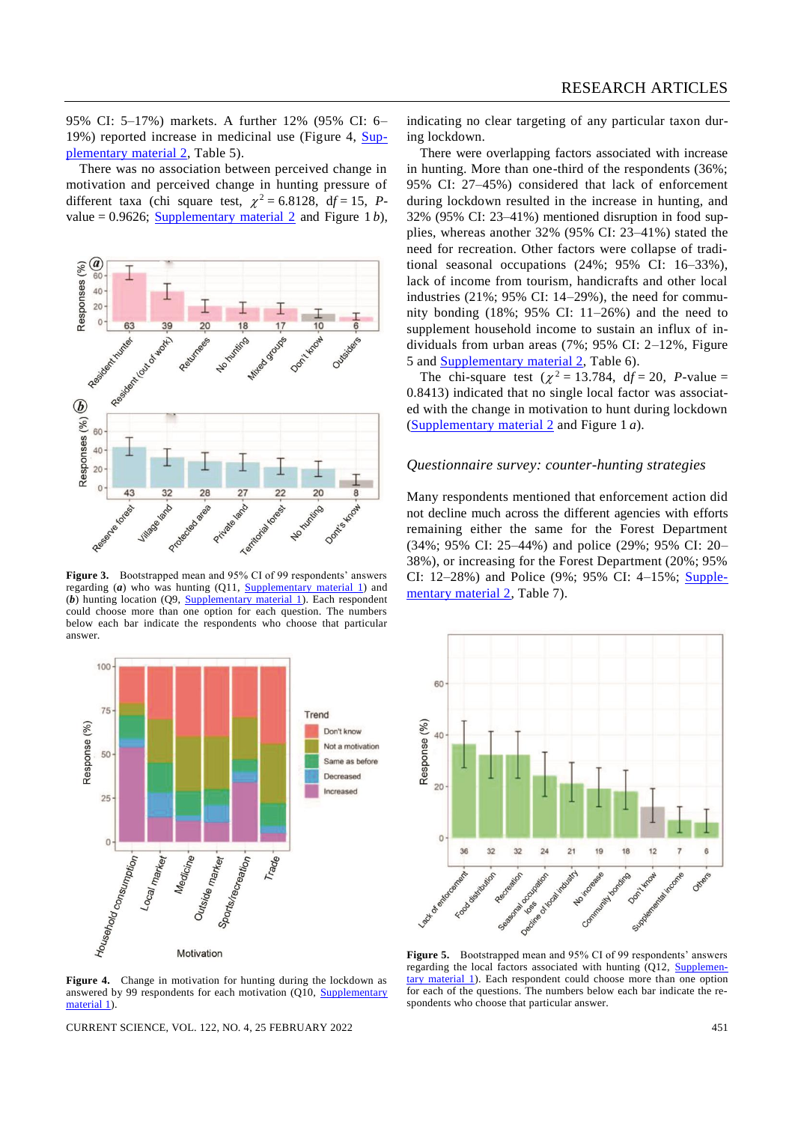95% CI: 5–17%) markets. A further 12% (95% CI: 6– 19%) reported increase in medicinal use (Figure 4, [Sup](https://www.currentscience.ac.in/Volumes/122/04/0448-suppl.pdf)[plementary material 2,](https://www.currentscience.ac.in/Volumes/122/04/0448-suppl.pdf) Table 5).

There was no association between perceived change in motivation and perceived change in hunting pressure of different taxa (chi square test,  $\chi^2 = 6.8128$ , df = 15, Pvalue =  $0.9626$ ; [Supplementary material 2](https://www.currentscience.ac.in/Volumes/122/04/0448-suppl.pdf) and Figure 1 *b*),



**Figure 3.** Bootstrapped mean and 95% CI of 99 respondents' answers regarding (*a*) who was hunting (Q11, **Supplementary material 1**) and (*b*) hunting location (Q9, [Supplementary material 1\)](https://www.currentscience.ac.in/Volumes/122/04/0448-suppl.pdf). Each respondent could choose more than one option for each question. The numbers below each bar indicate the respondents who choose that particular answer.



**Figure 4.** Change in motivation for hunting during the lockdown as answered by 99 respondents for each motivation (Q10, [Supplementary](https://www.currentscience.ac.in/Volumes/122/04/0448-suppl.pdf)  [material 1\).](https://www.currentscience.ac.in/Volumes/122/04/0448-suppl.pdf)

CURRENT SCIENCE, VOL. 122, NO. 4, 25 FEBRUARY 2022 451

indicating no clear targeting of any particular taxon during lockdown.

There were overlapping factors associated with increase in hunting. More than one-third of the respondents (36%; 95% CI: 27–45%) considered that lack of enforcement during lockdown resulted in the increase in hunting, and 32% (95% CI: 23–41%) mentioned disruption in food supplies, whereas another 32% (95% CI: 23–41%) stated the need for recreation. Other factors were collapse of traditional seasonal occupations (24%; 95% CI: 16–33%), lack of income from tourism, handicrafts and other local industries  $(21\%; 95\% \text{ CI: } 14-29\%)$ , the need for community bonding (18%; 95% CI: 11–26%) and the need to supplement household income to sustain an influx of individuals from urban areas (7%; 95% CI: 2–12%, Figure 5 and [Supplementary material 2,](https://www.currentscience.ac.in/Volumes/122/04/0448-suppl.pdf) Table 6).

The chi-square test  $(\chi^2 = 13.784, df = 20, P-value =$ 0.8413) indicated that no single local factor was associated with the change in motivation to hunt during lockdown [\(Supplementary material 2](https://www.currentscience.ac.in/Volumes/122/04/0448-suppl.pdf) and Figure 1 *a*).

#### *Questionnaire survey: counter-hunting strategies*

Many respondents mentioned that enforcement action did not decline much across the different agencies with efforts remaining either the same for the Forest Department (34%; 95% CI: 25–44%) and police (29%; 95% CI: 20– 38%), or increasing for the Forest Department (20%; 95% CI: 12–28%) and Police (9%; 95% CI: 4–15%; [Supple](https://www.currentscience.ac.in/Volumes/122/04/0448-suppl.pdf)[mentary material 2,](https://www.currentscience.ac.in/Volumes/122/04/0448-suppl.pdf) Table 7).



**Figure 5.** Bootstrapped mean and 95% CI of 99 respondents' answers regarding the local factors associated with hunting (Q12, [Supplemen](https://www.currentscience.ac.in/Volumes/122/04/0448-suppl.pdf)[tary material 1\)](https://www.currentscience.ac.in/Volumes/122/04/0448-suppl.pdf). Each respondent could choose more than one option for each of the questions. The numbers below each bar indicate the respondents who choose that particular answer.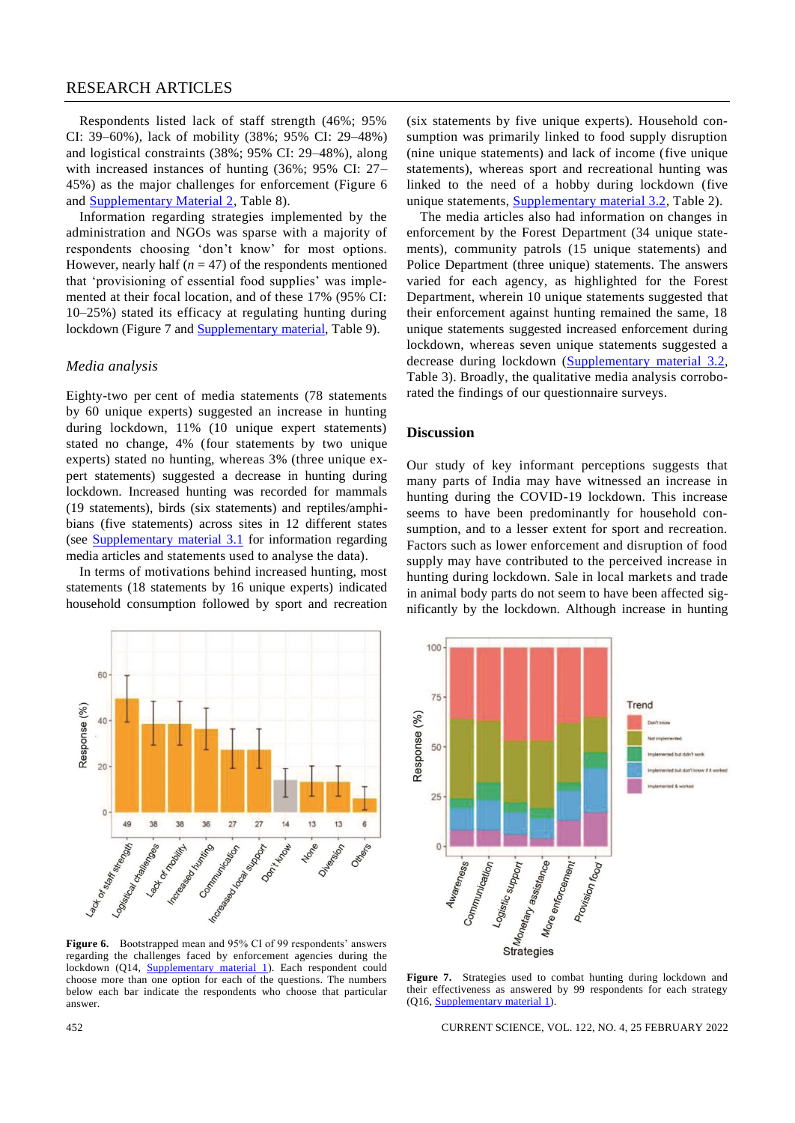# RESEARCH ARTICLES

Respondents listed lack of staff strength (46%; 95% CI: 39–60%), lack of mobility (38%; 95% CI: 29–48%) and logistical constraints (38%; 95% CI: 29–48%), along with increased instances of hunting (36%; 95% CI: 27– 45%) as the major challenges for enforcement (Figure 6 and [Supplementary Material 2,](https://www.currentscience.ac.in/Volumes/122/04/0448-suppl.pdf) Table 8).

Information regarding strategies implemented by the administration and NGOs was sparse with a majority of respondents choosing 'don't know' for most options. However, nearly half  $(n = 47)$  of the respondents mentioned that 'provisioning of essential food supplies' was implemented at their focal location, and of these 17% (95% CI: 10–25%) stated its efficacy at regulating hunting during lockdown (Figure 7 and [Supplementary material,](https://www.currentscience.ac.in/Volumes/122/04/0448-suppl.pdf) Table 9).

#### *Media analysis*

Eighty-two per cent of media statements (78 statements by 60 unique experts) suggested an increase in hunting during lockdown, 11% (10 unique expert statements) stated no change, 4% (four statements by two unique experts) stated no hunting, whereas 3% (three unique expert statements) suggested a decrease in hunting during lockdown. Increased hunting was recorded for mammals (19 statements), birds (six statements) and reptiles/amphibians (five statements) across sites in 12 different states (see [Supplementary material 3.1](https://www.currentscience.ac.in/Volumes/122/04/0448-suppl.pdf) for information regarding media articles and statements used to analyse the data).

In terms of motivations behind increased hunting, most statements (18 statements by 16 unique experts) indicated household consumption followed by sport and recreation



Figure 6. Bootstrapped mean and 95% CI of 99 respondents' answers regarding the challenges faced by enforcement agencies during the lockdown (Q14, **Supplementary material 1**). Each respondent could choose more than one option for each of the questions. The numbers below each bar indicate the respondents who choose that particular answer.

(six statements by five unique experts). Household consumption was primarily linked to food supply disruption (nine unique statements) and lack of income (five unique statements), whereas sport and recreational hunting was linked to the need of a hobby during lockdown (five unique statements, [Supplementary material 3.2,](https://www.currentscience.ac.in/Volumes/122/04/0448-suppl.pdf) Table 2).

The media articles also had information on changes in enforcement by the Forest Department (34 unique statements), community patrols (15 unique statements) and Police Department (three unique) statements. The answers varied for each agency, as highlighted for the Forest Department, wherein 10 unique statements suggested that their enforcement against hunting remained the same, 18 unique statements suggested increased enforcement during lockdown, whereas seven unique statements suggested a decrease during lockdown [\(Supplementary material](https://www.currentscience.ac.in/Volumes/122/04/0448-suppl.pdf) 3.2, Table 3). Broadly, the qualitative media analysis corroborated the findings of our questionnaire surveys.

# **Discussion**

Our study of key informant perceptions suggests that many parts of India may have witnessed an increase in hunting during the COVID-19 lockdown. This increase seems to have been predominantly for household consumption, and to a lesser extent for sport and recreation. Factors such as lower enforcement and disruption of food supply may have contributed to the perceived increase in hunting during lockdown. Sale in local markets and trade in animal body parts do not seem to have been affected significantly by the lockdown. Although increase in hunting



**Figure 7.** Strategies used to combat hunting during lockdown and their effectiveness as answered by 99 respondents for each strategy (Q16, [Supplementary material 1\)](https://www.currentscience.ac.in/Volumes/122/04/0448-suppl.pdf).

452 CURRENT SCIENCE, VOL. 122, NO. 4, 25 FEBRUARY 2022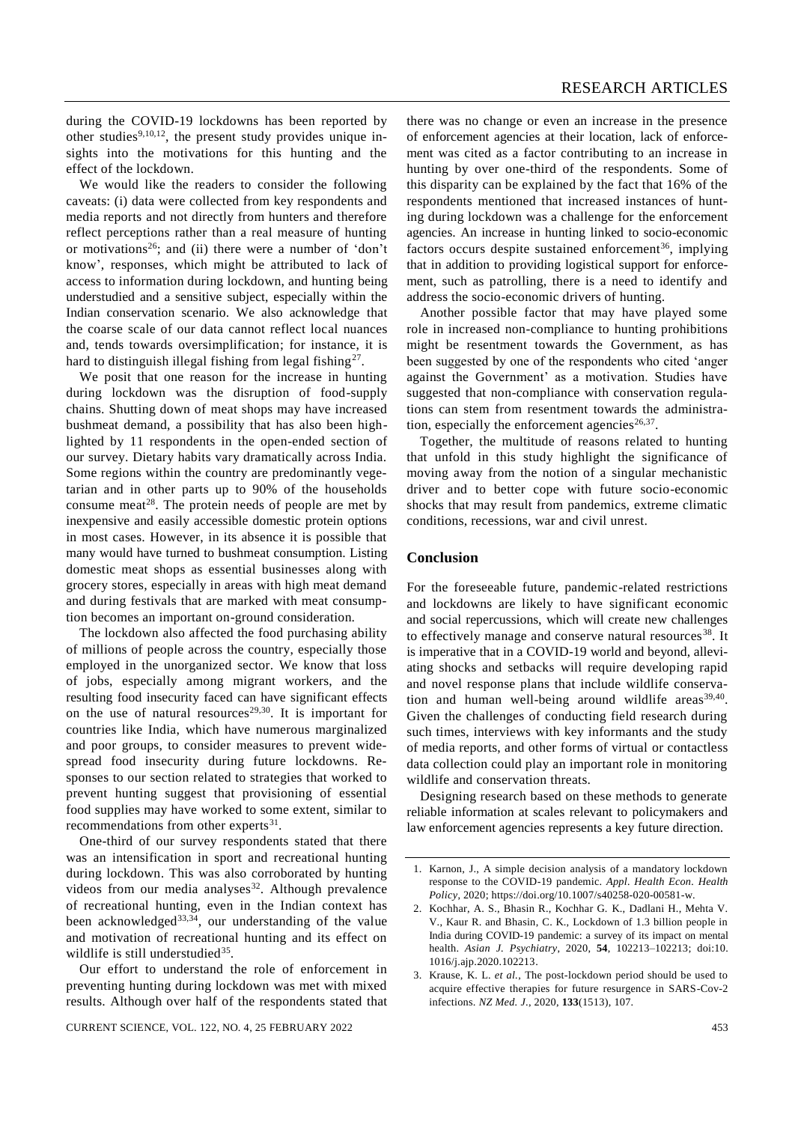during the COVID-19 lockdowns has been reported by other studies<sup>9,10,12</sup>, the present study provides unique insights into the motivations for this hunting and the effect of the lockdown.

We would like the readers to consider the following caveats: (i) data were collected from key respondents and media reports and not directly from hunters and therefore reflect perceptions rather than a real measure of hunting or motivations<sup>26</sup>; and (ii) there were a number of 'don't know', responses, which might be attributed to lack of access to information during lockdown, and hunting being understudied and a sensitive subject, especially within the Indian conservation scenario. We also acknowledge that the coarse scale of our data cannot reflect local nuances and, tends towards oversimplification; for instance, it is hard to distinguish illegal fishing from legal fishing<sup>27</sup>.

We posit that one reason for the increase in hunting during lockdown was the disruption of food-supply chains. Shutting down of meat shops may have increased bushmeat demand, a possibility that has also been highlighted by 11 respondents in the open-ended section of our survey. Dietary habits vary dramatically across India. Some regions within the country are predominantly vegetarian and in other parts up to 90% of the households consume meat<sup>28</sup>. The protein needs of people are met by inexpensive and easily accessible domestic protein options in most cases. However, in its absence it is possible that many would have turned to bushmeat consumption. Listing domestic meat shops as essential businesses along with grocery stores, especially in areas with high meat demand and during festivals that are marked with meat consumption becomes an important on-ground consideration.

The lockdown also affected the food purchasing ability of millions of people across the country, especially those employed in the unorganized sector. We know that loss of jobs, especially among migrant workers, and the resulting food insecurity faced can have significant effects on the use of natural resources<sup>29,30</sup>. It is important for countries like India, which have numerous marginalized and poor groups, to consider measures to prevent widespread food insecurity during future lockdowns. Responses to our section related to strategies that worked to prevent hunting suggest that provisioning of essential food supplies may have worked to some extent, similar to recommendations from other experts $31$ .

One-third of our survey respondents stated that there was an intensification in sport and recreational hunting during lockdown. This was also corroborated by hunting videos from our media analyses<sup>32</sup>. Although prevalence of recreational hunting, even in the Indian context has been acknowledged<sup>33,34</sup>, our understanding of the value and motivation of recreational hunting and its effect on wildlife is still understudied<sup>35</sup>.

Our effort to understand the role of enforcement in preventing hunting during lockdown was met with mixed results. Although over half of the respondents stated that there was no change or even an increase in the presence of enforcement agencies at their location, lack of enforcement was cited as a factor contributing to an increase in hunting by over one-third of the respondents. Some of this disparity can be explained by the fact that 16% of the respondents mentioned that increased instances of hunting during lockdown was a challenge for the enforcement agencies. An increase in hunting linked to socio-economic factors occurs despite sustained enforcement<sup>36</sup>, implying that in addition to providing logistical support for enforcement, such as patrolling, there is a need to identify and address the socio-economic drivers of hunting.

Another possible factor that may have played some role in increased non-compliance to hunting prohibitions might be resentment towards the Government, as has been suggested by one of the respondents who cited 'anger against the Government' as a motivation. Studies have suggested that non-compliance with conservation regulations can stem from resentment towards the administration, especially the enforcement agencies $26,37$ .

Together, the multitude of reasons related to hunting that unfold in this study highlight the significance of moving away from the notion of a singular mechanistic driver and to better cope with future socio-economic shocks that may result from pandemics, extreme climatic conditions, recessions, war and civil unrest.

# **Conclusion**

For the foreseeable future, pandemic-related restrictions and lockdowns are likely to have significant economic and social repercussions, which will create new challenges to effectively manage and conserve natural resources<sup>38</sup>. It is imperative that in a COVID-19 world and beyond, alleviating shocks and setbacks will require developing rapid and novel response plans that include wildlife conservation and human well-being around wildlife areas $^{39,40}$ . Given the challenges of conducting field research during such times, interviews with key informants and the study of media reports, and other forms of virtual or contactless data collection could play an important role in monitoring wildlife and conservation threats.

Designing research based on these methods to generate reliable information at scales relevant to policymakers and law enforcement agencies represents a key future direction.

<sup>1.</sup> Karnon, J., A simple decision analysis of a mandatory lockdown response to the COVID-19 pandemic. *Appl. Health Econ. Health Policy*, 2020; [https://doi.org/10.1007/s40258-020-00581-w.](https://doi.org/10.1007/s40258-020-00581-w)

<sup>2.</sup> Kochhar, A. S., Bhasin R., Kochhar G. K., Dadlani H., Mehta V. V., Kaur R. and Bhasin, C. K., Lockdown of 1.3 billion people in India during COVID-19 pandemic: a survey of its impact on mental health. *Asian J. Psychiatry*, 2020, **54**, 102213–102213; doi:10. 1016/j.ajp.2020.102213.

<sup>3.</sup> Krause, K. L. *et al.*, The post-lockdown period should be used to acquire effective therapies for future resurgence in SARS-Cov-2 infections. *NZ Med. J*., 2020, **133**(1513), 107.